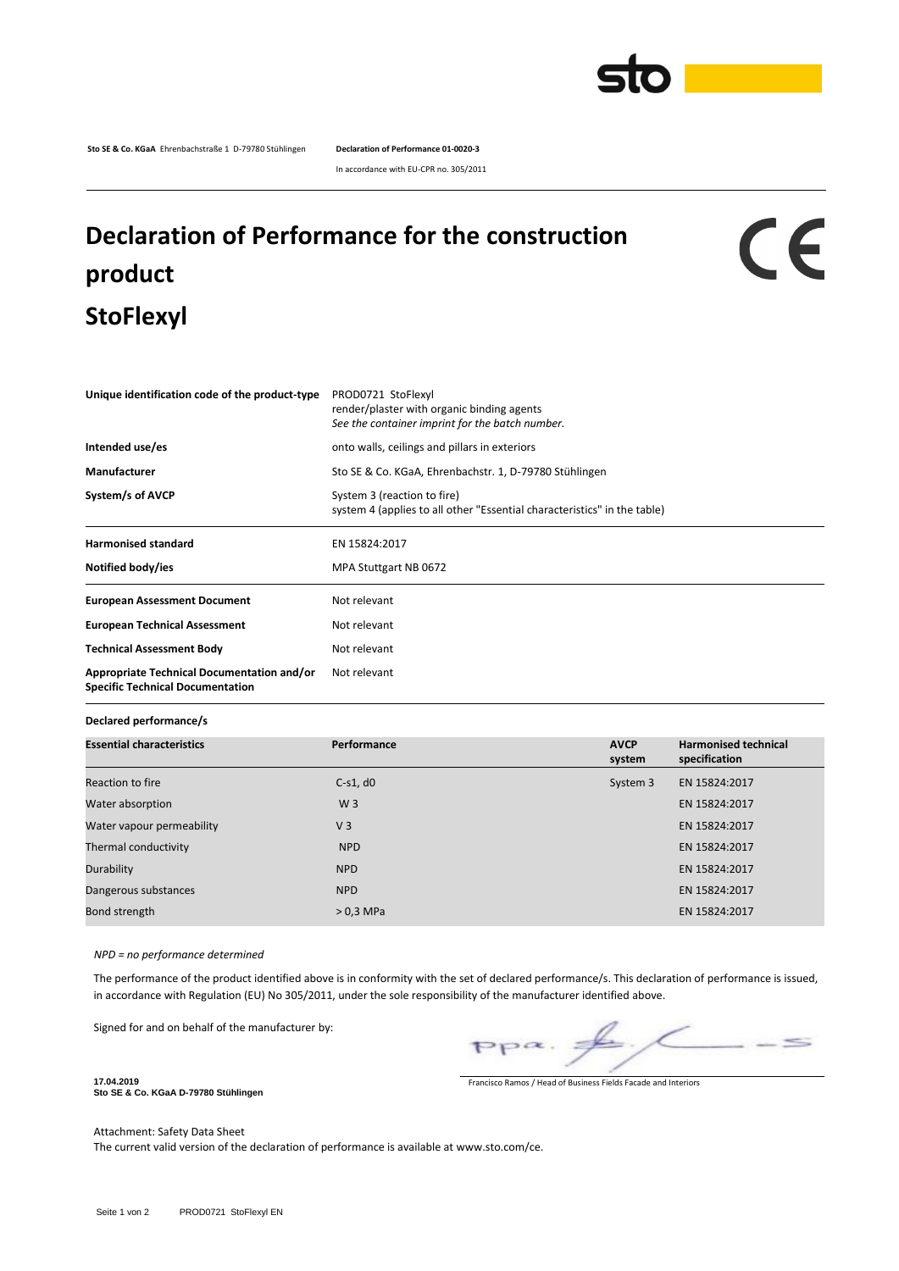

**Sto SE & Co. KGaA** Ehrenbachstraße 1 D-79780 Stühlingen **Declaration of Performance 01-0020-3**

In accordance with EU-CPR no. 305/2011

## **Declaration of Performance for the construction product StoFlexyl**

## CE

| Unique identification code of the product-type                                        | PROD0721 StoFlexyl<br>render/plaster with organic binding agents<br>See the container imprint for the batch number. |  |  |  |
|---------------------------------------------------------------------------------------|---------------------------------------------------------------------------------------------------------------------|--|--|--|
| Intended use/es                                                                       | onto walls, ceilings and pillars in exteriors                                                                       |  |  |  |
| Manufacturer                                                                          | Sto SE & Co. KGaA, Ehrenbachstr. 1, D-79780 Stühlingen                                                              |  |  |  |
| System/s of AVCP                                                                      | System 3 (reaction to fire)<br>system 4 (applies to all other "Essential characteristics" in the table)             |  |  |  |
| <b>Harmonised standard</b>                                                            | EN 15824:2017                                                                                                       |  |  |  |
| Notified body/ies                                                                     | MPA Stuttgart NB 0672                                                                                               |  |  |  |
| <b>European Assessment Document</b>                                                   | Not relevant                                                                                                        |  |  |  |
| <b>European Technical Assessment</b>                                                  | Not relevant                                                                                                        |  |  |  |
| <b>Technical Assessment Body</b>                                                      | Not relevant                                                                                                        |  |  |  |
| Appropriate Technical Documentation and/or<br><b>Specific Technical Documentation</b> | Not relevant                                                                                                        |  |  |  |
|                                                                                       |                                                                                                                     |  |  |  |

**Declared performance/s**

| <b>Essential characteristics</b> | Performance    | <b>AVCP</b><br>system | <b>Harmonised technical</b><br>specification |  |
|----------------------------------|----------------|-----------------------|----------------------------------------------|--|
| Reaction to fire                 | $C-S1, d0$     | System 3              | EN 15824:2017                                |  |
| Water absorption                 | W <sub>3</sub> |                       | EN 15824:2017                                |  |
| Water vapour permeability        | V <sub>3</sub> |                       | EN 15824:2017                                |  |
| Thermal conductivity             | <b>NPD</b>     |                       | EN 15824:2017                                |  |
| Durability                       | <b>NPD</b>     |                       | EN 15824:2017                                |  |
| Dangerous substances             | <b>NPD</b>     |                       | EN 15824:2017                                |  |
| Bond strength                    | $>0.3$ MPa     |                       | EN 15824:2017                                |  |

*NPD = no performance determined*

The performance of the product identified above is in conformity with the set of declared performance/s. This declaration of performance is issued, in accordance with Regulation (EU) No 305/2011, under the sole responsibility of the manufacturer identified above.

Signed for and on behalf of the manufacturer by:

 $\leq$ 

Francisco Ramos / Head of Business Fields Facade and Interiors

**Sto SE & Co. KGaA D-79780 Stühlingen**

Attachment: Safety Data Sheet

**17.04.2019**

The current valid version of the declaration of performance is available at www.sto.com/ce.